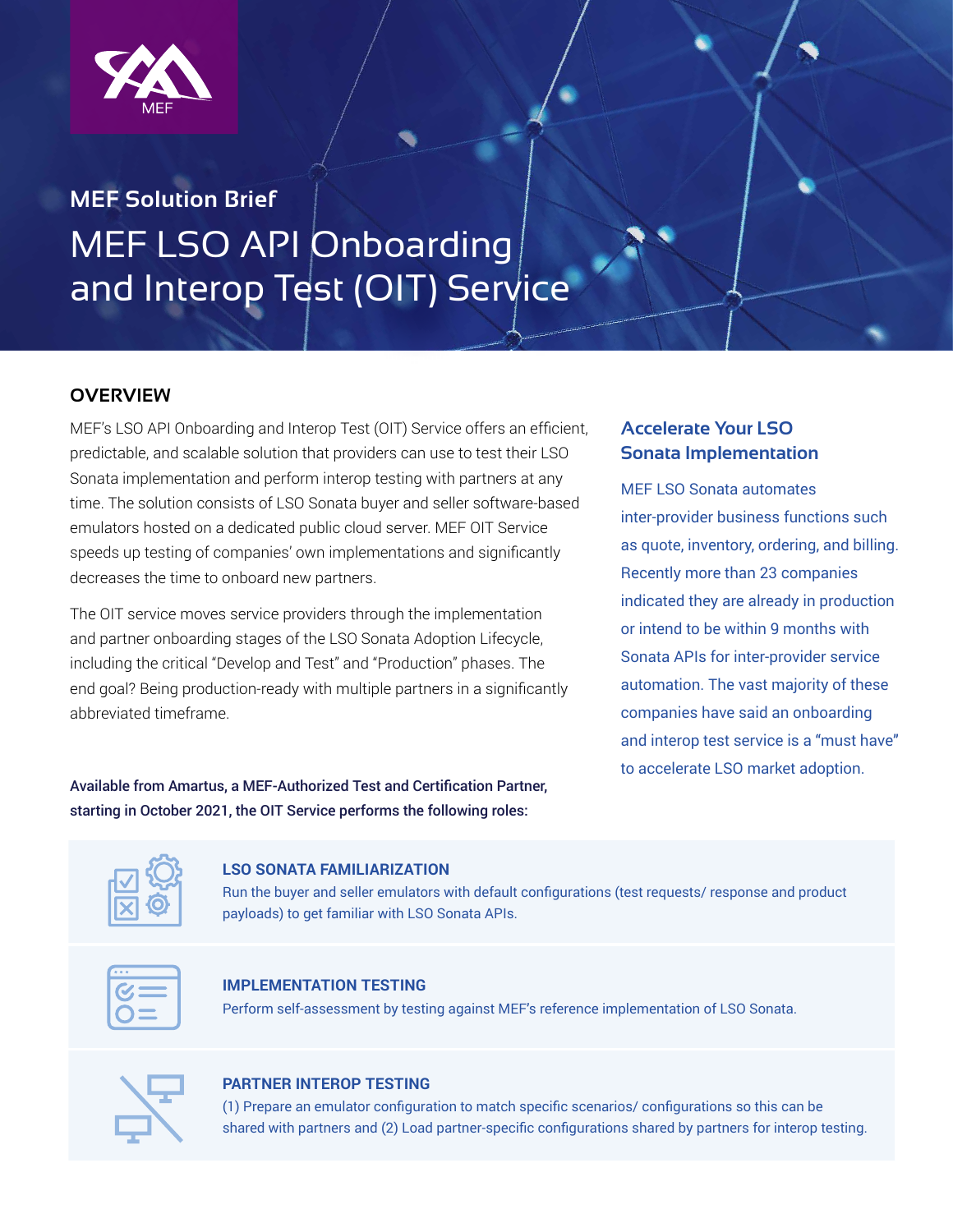

# **MEF Solution Brief** MEF LSO API Onboarding and Interop Test (OIT) Service

# **OVERVIEW**

MEF's LSO API Onboarding and Interop Test (OIT) Service offers an efficient, predictable, and scalable solution that providers can use to test their LSO Sonata implementation and perform interop testing with partners at any time. The solution consists of LSO Sonata buyer and seller software-based emulators hosted on a dedicated public cloud server. MEF OIT Service speeds up testing of companies' own implementations and significantly decreases the time to onboard new partners.

The OIT service moves service providers through the implementation and partner onboarding stages of the LSO Sonata Adoption Lifecycle, including the critical "Develop and Test" and "Production" phases. The end goal? Being production-ready with multiple partners in a significantly abbreviated timeframe.

# **Accelerate Your LSO Sonata Implementation**

MEF LSO Sonata automates inter-provider business functions such as quote, inventory, ordering, and billing. Recently more than 23 companies indicated they are already in production or intend to be within 9 months with Sonata APIs for inter-provider service automation. The vast majority of these companies have said an onboarding and interop test service is a "must have" to accelerate LSO market adoption.

Available from Amartus, a MEF-Authorized Test and Certification Partner, starting in October 2021, the OIT Service performs the following roles:

## **LSO SONATA FAMILIARIZATION**

Run the buyer and seller emulators with default configurations (test requests/ response and product payloads) to get familiar with LSO Sonata APIs.



## **IMPLEMENTATION TESTING**

Perform self-assessment by testing against MEF's reference implementation of LSO Sonata.



## **PARTNER INTEROP TESTING**

(1) Prepare an emulator configuration to match specific scenarios/ configurations so this can be shared with partners and (2) Load partner-specific configurations shared by partners for interop testing.